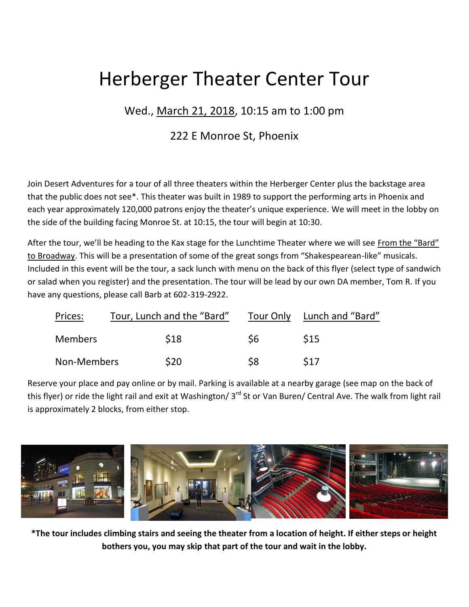## Herberger Theater Center Tour

## Wed., March 21, 2018, 10:15 am to 1:00 pm

## 222 E Monroe St, Phoenix

Join Desert Adventures for a tour of all three theaters within the Herberger Center plus the backstage area that the public does not see\*. This theater was built in 1989 to support the performing arts in Phoenix and each year approximately 120,000 patrons enjoy the theater's unique experience. We will meet in the lobby on the side of the building facing Monroe St. at 10:15, the tour will begin at 10:30.

After the tour, we'll be heading to the Kax stage for the Lunchtime Theater where we will see From the "Bard" to Broadway. This will be a presentation of some of the great songs from "Shakespearean-like" musicals. Included in this event will be the tour, a sack lunch with menu on the back of this flyer (select type of sandwich or salad when you register) and the presentation. The tour will be lead by our own DA member, Tom R. If you have any questions, please call Barb at 602-319-2922.

| Prices:     | Tour, Lunch and the "Bard" |           | Tour Only Lunch and "Bard" |
|-------------|----------------------------|-----------|----------------------------|
| Members     | <b>S18</b>                 | <b>S6</b> | <b>S15</b>                 |
| Non-Members | \$20                       | \$8       | S <sub>17</sub>            |

Reserve your place and pay online or by mail. Parking is available at a nearby garage (see map on the back of this flyer) or ride the light rail and exit at Washington/ 3<sup>rd</sup> St or Van Buren/ Central Ave. The walk from light rail is approximately 2 blocks, from either stop.



**\*The tour includes climbing stairs and seeing the theater from a location of height. If either steps or height bothers you, you may skip that part of the tour and wait in the lobby.**